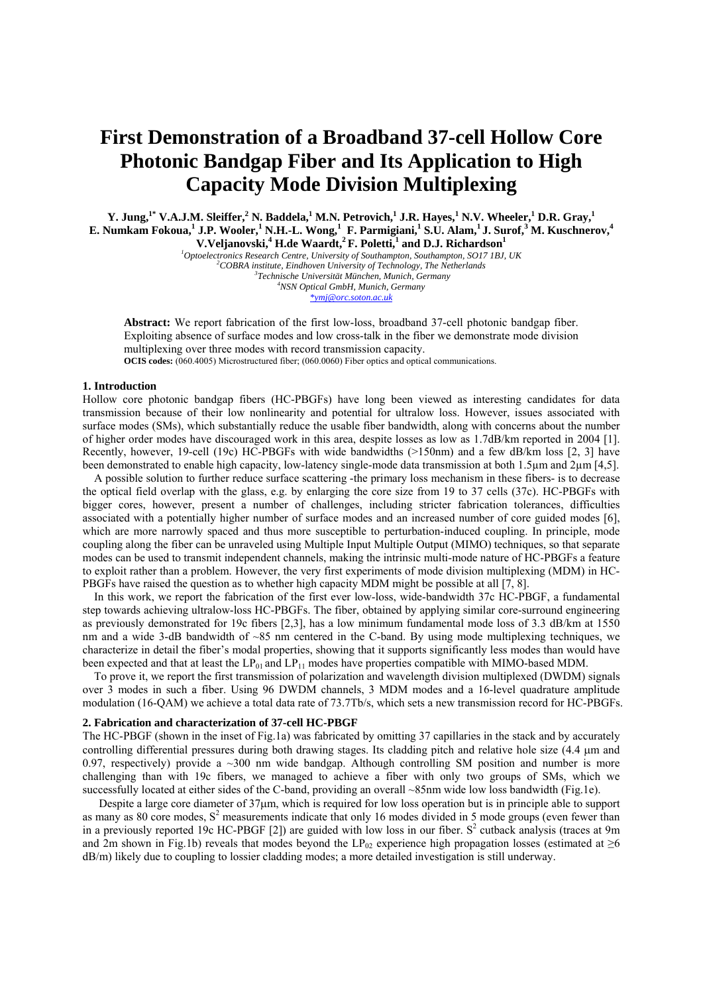# **First Demonstration of a Broadband 37-cell Hollow Core Photonic Bandgap Fiber and Its Application to High Capacity Mode Division Multiplexing**

 $Y.$  Jung,<sup>1\*</sup> V.A.J.M. Sleiffer,<sup>2</sup> N. Baddela,<sup>1</sup> M.N. Petrovich,<sup>1</sup> J.R. Hayes,<sup>1</sup> N.V. Wheeler,<sup>1</sup> D.R. Gray,<sup>1</sup>  $E$ . Numkam Fokoua,<sup>1</sup> J.P. Wooler,<sup>1</sup> N.H.-L. Wong,<sup>1</sup> F. Parmigiani,<sup>1</sup> S.U. Alam,<sup>1</sup> J. Surof,<sup>3</sup> M. Kuschnerov,<sup>4</sup> V.Veljanovski,<sup>4</sup> H.de Waardt,<sup>2</sup> F. Poletti,<sup>1</sup> and D.J. Richardson<sup>1</sup>

<sup>1</sup> Optoelectronics Research Centre, University of Southampton, Southampton, SO17 1BJ, UK<br><sup>2</sup>COPPA institute Findheuen University of Technology, The Netherlands *COBRA institute, Eindhoven University of Technology, The Netherlands 3 Technische Universität München, Munich, Germany 4 NSN Optical GmbH, Munich, Germany \*ymj@orc.soton.ac.uk*

**Abstract:** We report fabrication of the first low-loss, broadband 37-cell photonic bandgap fiber. Exploiting absence of surface modes and low cross-talk in the fiber we demonstrate mode division multiplexing over three modes with record transmission capacity. OCIS codes: (060.4005) Microstructured fiber; (060.0060) Fiber optics and optical communications.

#### **1. Introduction**

Hollow core photonic bandgap fibers (HC-PBGFs) have long been viewed as interesting candidates for data transmission because of their low nonlinearity and potential for ultralow loss. However, issues associated with surface modes (SMs), which substantially reduce the usable fiber bandwidth, along with concerns about the number of higher order modes have discouraged work in this area, despite losses as low as 1.7dB/km reported in 2004 [1]. Recently, however, 19-cell (19c) HC-PBGFs with wide bandwidths (>150nm) and a few dB/km loss [2, 3] have been demonstrated to enable high capacity, low-latency single-mode data transmission at both 1.5µm and 2µm [4,5].

A possible solution to further reduce surface scattering -the primary loss mechanism in these fibers- is to decrease the optical field overlap with the glass, e.g. by enlarging the core size from 19 to 37 cells (37c). HC-PBGFs with bigger cores, however, present a number of challenges, including stricter fabrication tolerances, difficulties associated with a potentially higher number of surface modes and an increased number of core guided modes [6], which are more narrowly spaced and thus more susceptible to perturbation-induced coupling. In principle, mode coupling along the fiber can be unraveled using Multiple Input Multiple Output (MIMO) techniques, so that separate modes can be used to transmit independent channels, making the intrinsic multi-mode nature of HC-PBGFs a feature to exploit rather than a problem. However, the very first experiments of mode division multiplexing (MDM) in HC-PBGFs have raised the question as to whether high capacity MDM might be possible at all [7, 8].

In this work, we report the fabrication of the first ever low-loss, wide-bandwidth 37c HC-PBGF, a fundamental step towards achieving ultralow-loss HC-PBGFs. The fiber, obtained by applying similar core-surround engineering as previously demonstrated for 19c fibers [2,3], has a low minimum fundamental mode loss of 3.3 dB/km at 1550 nm and a wide 3-dB bandwidth of ~85 nm centered in the C-band. By using mode multiplexing techniques, we characterize in detail the fiber's modal properties, showing that it supports significantly less modes than would have been expected and that at least the  $LP_{01}$  and  $LP_{11}$  modes have properties compatible with MIMO-based MDM.

To prove it, we report the first transmission of polarization and wavelength division multiplexed (DWDM) signals over 3 modes in such a fiber. Using 96 DWDM channels, 3 MDM modes and a 16-level quadrature amplitude modulation (16-QAM) we achieve a total data rate of 73.7Tb/s, which sets a new transmission record for HC-PBGFs.

#### **2. Fabrication and characterization of 37-cell HC-PBGF**

The HC-PBGF (shown in the inset of Fig.1a) was fabricated by omitting 37 capillaries in the stack and by accurately controlling differential pressures during both drawing stages. Its cladding pitch and relative hole size (4.4  $\mu$ m and 0.97, respectively) provide a  $\sim$ 300 nm wide bandgap. Although controlling SM position and number is more challenging than with 19c fibers, we managed to achieve a fiber with only two groups of SMs, which we successfully located at either sides of the C-band, providing an overall ~85nm wide low loss bandwidth (Fig.1e).

Despite a large core diameter of  $37\mu$ m, which is required for low loss operation but is in principle able to support as many as 80 core modes,  $S^2$  measurements indicate that only 16 modes divided in 5 mode groups (even fewer than in a previously reported 19c HC-PBGF [2]) are guided with low loss in our fiber.  $S<sup>2</sup>$  cutback analysis (traces at 9m and 2m shown in Fig.1b) reveals that modes beyond the  $LP_{02}$  experience high propagation losses (estimated at ≥6 dB/m) likely due to coupling to lossier cladding modes; a more detailed investigation is still underway.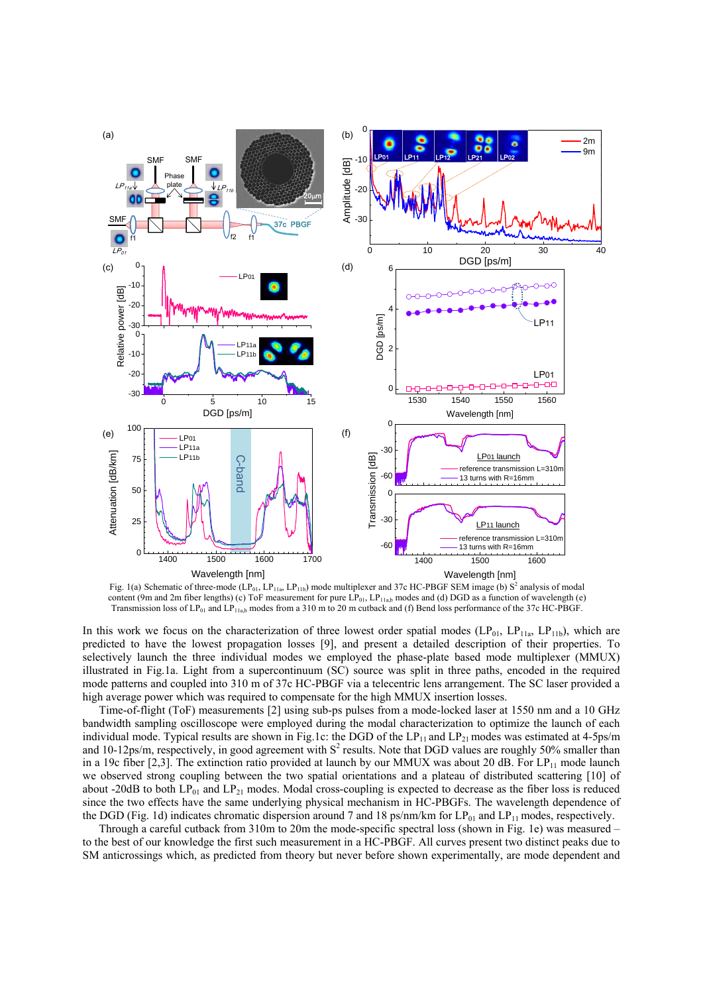

Fig. 1(a) Schematic of three-mode (LP<sub>01</sub>, LP<sub>11a</sub>, LP<sub>11b</sub>) mode multiplexer and 37c HC-PBGF SEM image (b) S<sup>2</sup> analysis of modal content (9m and 2m fiber lengths) (c) ToF measurement for pure  $LP_{01}$ ,  $LP_{11ab}$  modes and (d) DGD as a function of wavelength (e) Transmission loss of LP01 and LP11a,b modes from a 310 m to 20 m cutback and (f) Bend loss performance of the 37c HC-PBGF.

In this work we focus on the characterization of three lowest order spatial modes  $(LP_{01}, LP_{11a}, LP_{11b})$ , which are predicted to have the lowest propagation losses [9], and present a detailed description of their properties. To selectively launch the three individual modes we employed the phase-plate based mode multiplexer (MMUX) illustrated in Fig.1a. Light from a supercontinuum (SC) source was split in three paths, encoded in the required mode patterns and coupled into 310 m of 37c HC-PBGF via a telecentric lens arrangement. The SC laser provided a high average power which was required to compensate for the high MMUX insertion losses.

Time-of-flight (ToF) measurements [2] using sub-ps pulses from a mode-locked laser at 1550 nm and a 10 GHz bandwidth sampling oscilloscope were employed during the modal characterization to optimize the launch of each individual mode. Typical results are shown in Fig.1c: the DGD of the  $LP_{11}$  and  $LP_{21}$  modes was estimated at 4-5ps/m and 10-12ps/m, respectively, in good agreement with  $S^2$  results. Note that DGD values are roughly 50% smaller than in a 19c fiber [2,3]. The extinction ratio provided at launch by our MMUX was about 20 dB. For  $LP_{11}$  mode launch we observed strong coupling between the two spatial orientations and a plateau of distributed scattering [10] of about -20dB to both  $LP_{01}$  and  $LP_{21}$  modes. Modal cross-coupling is expected to decrease as the fiber loss is reduced since the two effects have the same underlying physical mechanism in HC-PBGFs. The wavelength dependence of the DGD (Fig. 1d) indicates chromatic dispersion around 7 and 18 ps/nm/km for  $LP_{01}$  and  $LP_{11}$  modes, respectively.

Through a careful cutback from 310m to 20m the mode-specific spectral loss (shown in Fig. 1e) was measured – to the best of our knowledge the first such measurement in a HC-PBGF. All curves present two distinct peaks due to SM anticrossings which, as predicted from theory but never before shown experimentally, are mode dependent and